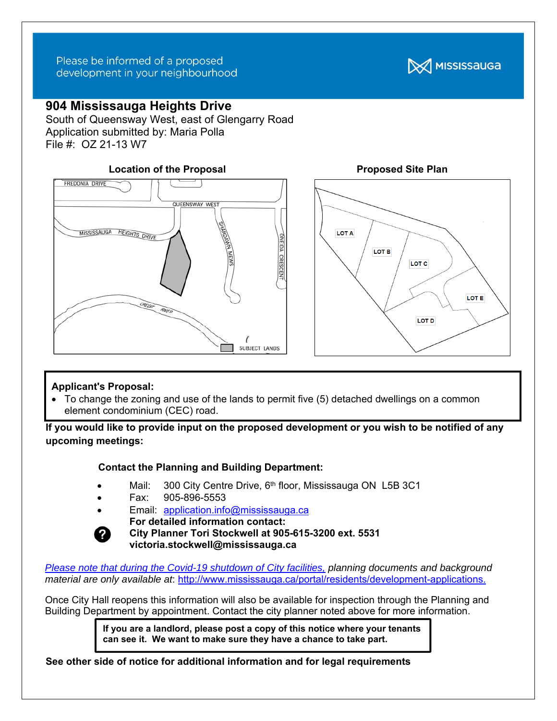## Please be informed of a proposed development in your neighbourhood



# **904 Mississauga Heights Drive**

South of Queensway West, east of Glengarry Road Application submitted by: Maria Polla File #: OZ 21-13 W7





## **Applicant's Proposal:**

 To change the zoning and use of the lands to permit five (5) detached dwellings on a common element condominium (CEC) road.

**If you would like to provide input on the proposed development or you wish to be notified of any upcoming meetings:** 

 **Contact the Planning and Building Department:** 

- Mail: 300 City Centre Drive, 6<sup>th</sup> floor, Mississauga ON L5B 3C1
- Fax: 905-896-5553
	- Email: application.info@mississauga.ca **For detailed information contact:**



**City Planner Tori Stockwell at 905-615-3200 ext. 5531 victoria.stockwell@mississauga.ca** 

*Please note that during the Covid-19 shutdown of City facilities, planning documents and background material are only available at*: http://www.mississauga.ca/portal/residents/development-applications.

Once City Hall reopens this information will also be available for inspection through the Planning and Building Department by appointment. Contact the city planner noted above for more information.

> **If you are a landlord, please post a copy of this notice where your tenants can see it. We want to make sure they have a chance to take part.**

**See other side of notice for additional information and for legal requirements**